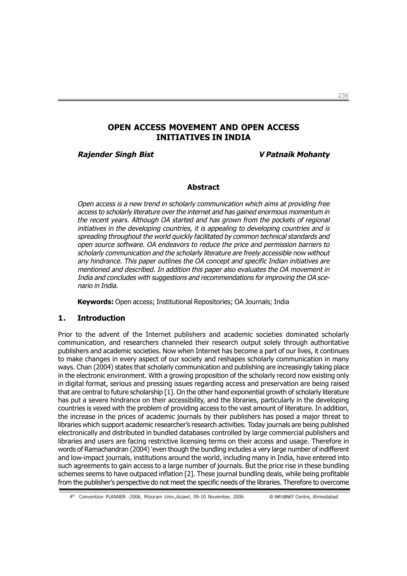# OPEN ACCESS MOVEMENT AND OPEN ACCESS INITIATIVES IN INDIA

Rajender Singh Bist V Patnaik Mohanty

#### **Abstract**

Open access is a new trend in scholarly communication which aims at providing free access to scholarly literature over the internet and has gained enormous momentum in the recent years. Although OA started and has grown from the pockets of regional initiatives in the developing countries, it is appealing to developing countries and is spreading throughout the world quickly facilitated by common technical standards and open source software. OA endeavors to reduce the price and permission barriers to scholarly communication and the scholarly literature are freely accessible now without any hindrance. This paper outlines the OA concept and specific Indian initiatives are mentioned and described. In addition this paper also evaluates the OA movement in India and concludes with suggestions and recommendations for improving the OA scenario in India.

Keywords: Open access; Institutional Repositories; OA Journals; India

## 1. Introduction

Prior to the advent of the Internet publishers and academic societies dominated scholarly communication, and researchers channeled their research output solely through authoritative publishers and academic societies. Now when Internet has become a part of our lives, it continues to make changes in every aspect of our society and reshapes scholarly communication in many ways. Chan (2004) states that scholarly communication and publishing are increasingly taking place in the electronic environment. With a growing proposition of the scholarly record now existing only in digital format, serious and pressing issues regarding access and preservation are being raised that are central to future scholarship [1]. On the other hand exponential growth of scholarly literature has put a severe hindrance on their accessibility, and the libraries, particularly in the developing countries is vexed with the problem of providing access to the vast amount of literature. In addition, the increase in the prices of academic journals by their publishers has posed a major threat to libraries which support academic researcher's research activities. Today journals are being published electronically and distributed in bundled databases controlled by large commercial publishers and libraries and users are facing restrictive licensing terms on their access and usage. Therefore in words of Ramachandran (2004) 'even though the bundling includes a very large number of indifferent and low-impact journals, institutions around the world, including many in India, have entered into such agreements to gain access to a large number of journals. But the price rise in these bundling schemes seems to have outpaced inflation [2]. These journal bundling deals, while being profitable from the publisher's perspective do not meet the specific needs of the libraries. Therefore to overcome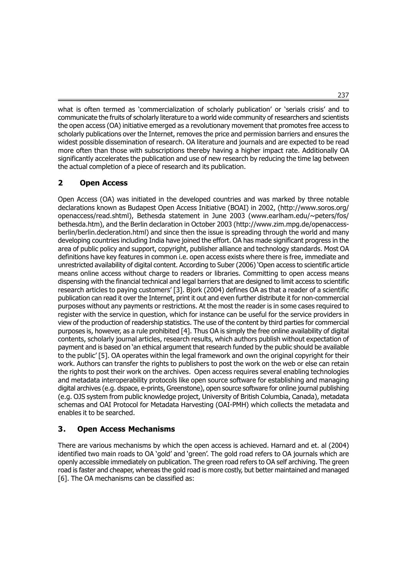what is often termed as 'commercialization of scholarly publication' or 'serials crisis' and to communicate the fruits of scholarly literature to a world wide community of researchers and scientists the open access (OA) initiative emerged as a revolutionary movement that promotes free access to scholarly publications over the Internet, removes the price and permission barriers and ensures the widest possible dissemination of research. OA literature and journals and are expected to be read more often than those with subscriptions thereby having a higher impact rate. Additionally OA significantly accelerates the publication and use of new research by reducing the time lag between the actual completion of a piece of research and its publication.

# 2 Open Access

Open Access (OA) was initiated in the developed countries and was marked by three notable declarations known as Budapest Open Access Initiative (BOAI) in 2002, (http://www.soros.org/ openaccess/read.shtml), Bethesda statement in June 2003 (www.earlham.edu/~peters/fos/ bethesda.htm), and the Berlin declaration in October 2003 (http://www.zim.mpg.de/openaccessberlin/berlin.decleration.html) and since then the issue is spreading through the world and many developing countries including India have joined the effort. OA has made significant progress in the area of public policy and support, copyright, publisher alliance and technology standards. Most OA definitions have key features in common i.e. open access exists where there is free, immediate and unrestricted availability of digital content. According to Suber (2006) 'Open access to scientific article means online access without charge to readers or libraries. Committing to open access means dispensing with the financial technical and legal barriers that are designed to limit access to scientific research articles to paying customers' [3]. Bjork (2004) defines OA as that a reader of a scientific publication can read it over the Internet, print it out and even further distribute it for non-commercial purposes without any payments or restrictions. At the most the reader is in some cases required to register with the service in question, which for instance can be useful for the service providers in view of the production of readership statistics. The use of the content by third parties for commercial purposes is, however, as a rule prohibited [4]. Thus OA is simply the free online availability of digital contents, scholarly journal articles, research results, which authors publish without expectation of payment and is based on 'an ethical argument that research funded by the public should be available to the public' [5]. OA operates within the legal framework and own the original copyright for their work. Authors can transfer the rights to publishers to post the work on the web or else can retain the rights to post their work on the archives. Open access requires several enabling technologies and metadata interoperability protocols like open source software for establishing and managing digital archives (e.g. dspace, e-prints, Greenstone), open source software for online journal publishing (e.g. OJS system from public knowledge project, University of British Columbia, Canada), metadata schemas and OAI Protocol for Metadata Harvesting (OAI-PMH) which collects the metadata and enables it to be searched.

# 3. Open Access Mechanisms

There are various mechanisms by which the open access is achieved. Harnard and et. al (2004) identified two main roads to OA 'gold' and 'green'. The gold road refers to OA journals which are openly accessible immediately on publication. The green road refers to OA self archiving. The green road is faster and cheaper, whereas the gold road is more costly, but better maintained and managed [6]. The OA mechanisms can be classified as: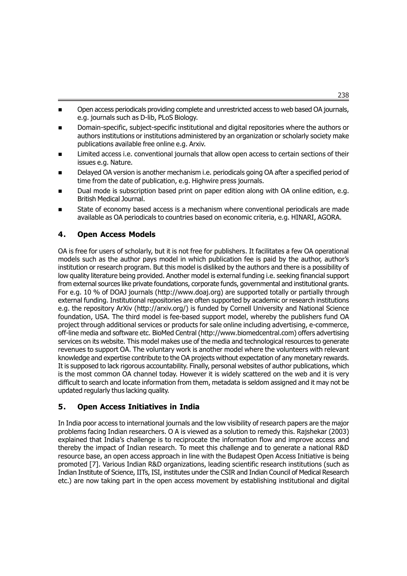- Open access periodicals providing complete and unrestricted access to web based OA journals, e.g. journals such as D-lib, PLoS Biology.
- n Domain-specific, subject-specific institutional and digital repositories where the authors or authors institutions or institutions administered by an organization or scholarly society make publications available free online e.g. Arxiv.
- Limited access i.e. conventional journals that allow open access to certain sections of their issues e.g. Nature.
- Delayed OA version is another mechanism i.e. periodicals going OA after a specified period of time from the date of publication, e.g. Highwire press journals.
- Dual mode is subscription based print on paper edition along with OA online edition, e.g. British Medical Journal.
- State of economy based access is a mechanism where conventional periodicals are made available as OA periodicals to countries based on economic criteria, e.g. HINARI, AGORA.

## 4. Open Access Models

OA is free for users of scholarly, but it is not free for publishers. It facilitates a few OA operational models such as the author pays model in which publication fee is paid by the author, author's institution or research program. But this model is disliked by the authors and there is a possibility of low quality literature being provided. Another model is external funding i.e. seeking financial support from external sources like private foundations, corporate funds, governmental and institutional grants. For e.g. 10 % of DOAJ journals (http://www.doaj.org) are supported totally or partially through external funding. Institutional repositories are often supported by academic or research institutions e.g. the repository ArXiv (http://arxiv.org/) is funded by Cornell University and National Science foundation, USA. The third model is fee-based support model, whereby the publishers fund OA project through additional services or products for sale online including advertising, e-commerce, off-line media and software etc. BioMed Central (http://www.biomedcentral.com) offers advertising services on its website. This model makes use of the media and technological resources to generate revenues to support OA. The voluntary work is another model where the volunteers with relevant knowledge and expertise contribute to the OA projects without expectation of any monetary rewards. It is supposed to lack rigorous accountability. Finally, personal websites of author publications, which is the most common OA channel today. However it is widely scattered on the web and it is very difficult to search and locate information from them, metadata is seldom assigned and it may not be updated regularly thus lacking quality.

## 5. Open Access Initiatives in India

In India poor access to international journals and the low visibility of research papers are the major problems facing Indian researchers. O A is viewed as a solution to remedy this. Rajshekar (2003) explained that India's challenge is to reciprocate the information flow and improve access and thereby the impact of Indian research. To meet this challenge and to generate a national R&D resource base, an open access approach in line with the Budapest Open Access Initiative is being promoted [7]. Various Indian R&D organizations, leading scientific research institutions (such as Indian Institute of Science, IITs, ISI, institutes under the CSIR and Indian Council of Medical Research etc.) are now taking part in the open access movement by establishing institutional and digital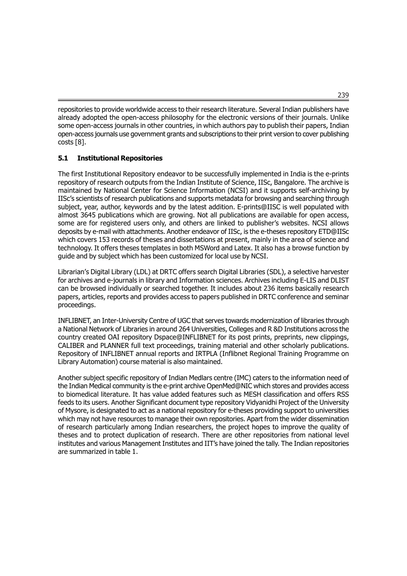repositories to provide worldwide access to their research literature. Several Indian publishers have already adopted the open-access philosophy for the electronic versions of their journals. Unlike some open-access journals in other countries, in which authors pay to publish their papers, Indian open-access journals use government grants and subscriptions to their print version to cover publishing costs [8].

## 5.1 Institutional Repositories

The first Institutional Repository endeavor to be successfully implemented in India is the e-prints repository of research outputs from the Indian Institute of Science, IISc, Bangalore. The archive is maintained by National Center for Science Information (NCSI) and it supports self-archiving by IISc's scientists of research publications and supports metadata for browsing and searching through subject, year, author, keywords and by the latest addition. E-prints@IISC is well populated with almost 3645 publications which are growing. Not all publications are available for open access, some are for registered users only, and others are linked to publisher's websites. NCSI allows deposits by e-mail with attachments. Another endeavor of IISc, is the e-theses repository ETD@IISc which covers 153 records of theses and dissertations at present, mainly in the area of science and technology. It offers theses templates in both MSWord and Latex. It also has a browse function by guide and by subject which has been customized for local use by NCSI.

Librarian's Digital Library (LDL) at DRTC offers search Digital Libraries (SDL), a selective harvester for archives and e-journals in library and Information sciences. Archives including E-LIS and DLIST can be browsed individually or searched together. It includes about 236 items basically research papers, articles, reports and provides access to papers published in DRTC conference and seminar proceedings.

INFLIBNET, an Inter-University Centre of UGC that serves towards modernization of libraries through a National Network of Libraries in around 264 Universities, Colleges and R &D Institutions across the country created OAI repository Dspace@INFLIBNET for its post prints, preprints, new clippings, CALIBER and PLANNER full text proceedings, training material and other scholarly publications. Repository of INFLIBNET annual reports and IRTPLA (Inflibnet Regional Training Programme on Library Automation) course material is also maintained.

Another subject specific repository of Indian Medlars centre (IMC) caters to the information need of the Indian Medical community is the e-print archive OpenMed@NIC which stores and provides access to biomedical literature. It has value added features such as MESH classification and offers RSS feeds to its users. Another Significant document type repository Vidyanidhi Project of the University of Mysore, is designated to act as a national repository for e-theses providing support to universities which may not have resources to manage their own repositories. Apart from the wider dissemination of research particularly among Indian researchers, the project hopes to improve the quality of theses and to protect duplication of research. There are other repositories from national level institutes and various Management Institutes and IIT's have joined the tally. The Indian repositories are summarized in table 1.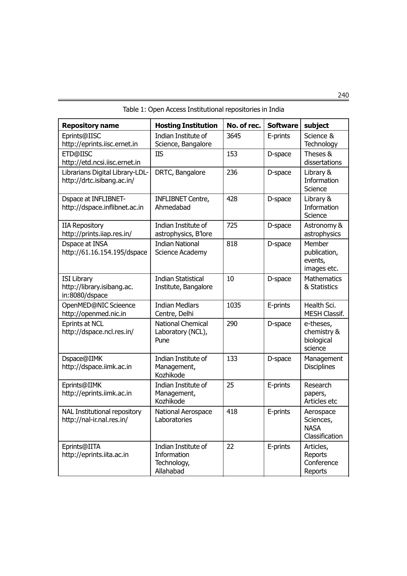| <b>Repository name</b>                                             | <b>Hosting Institution</b>                                     | No. of rec. | <b>Software</b> | subject                                                 |
|--------------------------------------------------------------------|----------------------------------------------------------------|-------------|-----------------|---------------------------------------------------------|
| Eprints@IISC<br>http://eprints.iisc.ernet.in                       | Indian Institute of<br>Science, Bangalore                      | 3645        | E-prints        | Science &<br>Technology                                 |
| ETD@IISC<br>http://etd.ncsi.iisc.ernet.in                          | <b>IIS</b>                                                     | 153         | D-space         | Theses &<br>dissertations                               |
| Librarians Digital Library-LDL-<br>http://drtc.isibang.ac.in/      | DRTC, Bangalore                                                | 236         | D-space         | Library &<br>Information<br>Science                     |
| <b>Dspace at INFLIBNET-</b><br>http://dspace.inflibnet.ac.in       | <b>INFLIBNET Centre,</b><br>Ahmedabad                          | 428         | D-space         | Library &<br>Information<br>Science                     |
| <b>IIA Repository</b><br>http://prints.iiap.res.in/                | Indian Institute of<br>astrophysics, B'lore                    | 725         | D-space         | Astronomy &<br>astrophysics                             |
| Dspace at INSA<br>http://61.16.154.195/dspace                      | <b>Indian National</b><br>Science Academy                      | 818         | D-space         | Member<br>publication,<br>events,<br>images etc.        |
| <b>ISI Library</b><br>http://library.isibang.ac.<br>in:8080/dspace | <b>Indian Statistical</b><br>Institute, Bangalore              | 10          | D-space         | <b>Mathematics</b><br>& Statistics                      |
| OpenMED@NIC Scieence<br>http://openmed.nic.in                      | <b>Indian Medlars</b><br>Centre, Delhi                         | 1035        | E-prints        | Health Sci.<br><b>MESH Classif.</b>                     |
| <b>Eprints at NCL</b><br>http://dspace.ncl.res.in/                 | <b>National Chemical</b><br>Laboratory (NCL),<br>Pune          | 290         | D-space         | e-theses,<br>chemistry &<br>biological<br>science       |
| Dspace@IIMK<br>http://dspace.iimk.ac.in                            | Indian Institute of<br>Management,<br>Kozhikode                | 133         | D-space         | Management<br><b>Disciplines</b>                        |
| Eprints@IIMK<br>http://eprints.iimk.ac.in                          | Indian Institute of<br>Management,<br>Kozhikode                | 25          | E-prints        | Research<br>papers,<br>Articles etc                     |
| <b>NAL Institutional repository</b><br>http://nal-ir.nal.res.in/   | National Aerospace<br>Laboratories                             | 418         | E-prints        | Aerospace<br>Sciences,<br><b>NASA</b><br>Classification |
| Eprints@IITA<br>http://eprints.iita.ac.in                          | Indian Institute of<br>Information<br>Technology,<br>Allahabad | 22          | E-prints        | Articles,<br>Reports<br>Conference<br>Reports           |

Table 1: Open Access Institutional repositories in India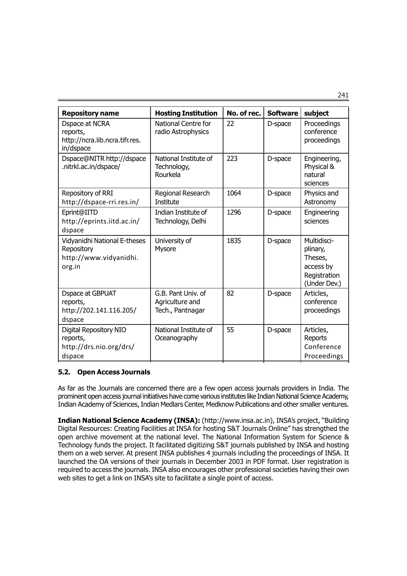Repository name  $\vert$  Hosting Institution  $\vert$  No. of rec.  $\vert$  Software  $\vert$  subject Dspace at NCRA  $\parallel$  National Centre for  $\parallel$  22  $\parallel$  D-space Proceedings reports, and radio Astrophysics and reports, conference http://ncra.lib.ncra.tifr.res. | proceedings | proceedings | proceedings | proceedings | proceedings | proceedings | proceedings | proceedings | proceedings | proceedings | proceedings | proceedings | proceedings | proceed in/dspace Dspace@NITR http://dspace  $\vert$  National Institute of  $\vert$  223  $\vert$  D-space  $\vert$  Engineering, .nitrkl.ac.in/dspace/ Technology, Physical & Rourkela **natural** natural sciences Repository of RRI Regional Research | 1064 | D-space Physics and http://dspace-rri.res.in/ Institute Astronomy Eprint@IITD | Indian Institute of | 1296 | D-space | Engineering http://eprints.iitd.ac.in/ Technology, Delhi sciences dspace Vidyanidhi National E-theses | University of  $\vert$  1835 | D-space | Multidisci-Repository Mysore Physore Physore Physon in the plinary, http://www.vidyanidhi. | interventional control and the second the second through the second through  $\vert$  Theses, org.in access by the contract of the contract of the contract of the contract of the contract of the contract o **Registration** (Under Dev.) Dspace at GBPUAT G.B. Pant Univ. of 82 D-space Articles, reports, and agriculture and conference conference http://202.141.116.205/ Tech., Pantnagar proceedings dspace Digital Repository NIO | National Institute of | 55 | D-space | Articles, reports, and  $\vert$  Oceanography  $\vert$  and  $\vert$  Reports http://drs.nio.org/drs/ | Conference dspace and the contract of the proceedings of the proceedings of the proceedings of the proceedings of the proceedings of the proceedings of the proceedings of the proceedings of the proceedings of the proceedings of the p

## 5.2. Open Access Journals

As far as the Journals are concerned there are a few open access journals providers in India. The prominent open access journal initiatives have come various institutes like Indian National Science Academy, Indian Academy of Sciences, Indian Medlars Center, Medknow Publications and other smaller ventures.

Indian National Science Academy (INSA): (http://www.insa.ac.in), INSA's project, "Building Digital Resources: Creating Facilities at INSA for hosting S&T Journals Online" has strengthed the open archive movement at the national level. The National Information System for Science & Technology funds the project. It facilitated digitizing S&T journals published by INSA and hosting them on a web server. At present INSA publishes 4 journals including the proceedings of INSA. It launched the OA versions of their journals in December 2003 in PDF format. User registration is required to access the journals. INSA also encourages other professional societies having their own web sites to get a link on INSA's site to facilitate a single point of access.

241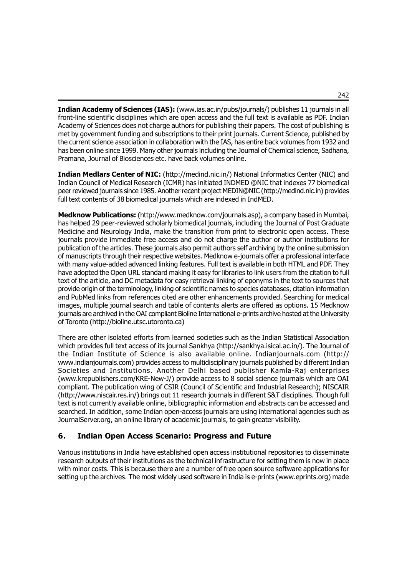Indian Academy of Sciences (IAS): (www.ias.ac.in/pubs/journals/) publishes 11 journals in all front-line scientific disciplines which are open access and the full text is available as PDF. Indian Academy of Sciences does not charge authors for publishing their papers. The cost of publishing is met by government funding and subscriptions to their print journals. Current Science, published by the current science association in collaboration with the IAS, has entire back volumes from 1932 and has been online since 1999. Many other journals including the Journal of Chemical science, Sadhana, Pramana, Journal of Biosciences etc. have back volumes online.

Indian Medlars Center of NIC: (http://medind.nic.in/) National Informatics Center (NIC) and Indian Council of Medical Research (ICMR) has initiated INDMED @NIC that indexes 77 biomedical peer reviewed journals since 1985. Another recent project MEDIN@NIC (http://medind.nic.in) provides full text contents of 38 biomedical journals which are indexed in IndMED.

Medknow Publications: (http://www.medknow.com/journals.asp), a company based in Mumbai, has helped 29 peer-reviewed scholarly biomedical journals, including the Journal of Post Graduate Medicine and Neurology India, make the transition from print to electronic open access. These journals provide immediate free access and do not charge the author or author institutions for publication of the articles. These journals also permit authors self archiving by the online submission of manuscripts through their respective websites. Medknow e-journals offer a professional interface with many value-added advanced linking features. Full text is available in both HTML and PDF. They have adopted the Open URL standard making it easy for libraries to link users from the citation to full text of the article, and DC metadata for easy retrieval linking of eponyms in the text to sources that provide origin of the terminology, linking of scientific names to species databases, citation information and PubMed links from references cited are other enhancements provided. Searching for medical images, multiple journal search and table of contents alerts are offered as options. 15 Medknow journals are archived in the OAI compliant Bioline International e-prints archive hosted at the University of Toronto (http://bioline.utsc.utoronto.ca)

There are other isolated efforts from learned societies such as the Indian Statistical Association which provides full text access of its journal Sankhya (http://sankhya.isical.ac.in/). The Journal of the Indian Institute of Science is also available online. Indianjournals.com (http:// www.indianjournals.com) provides access to multidisciplinary journals published by different Indian Societies and Institutions. Another Delhi based publisher Kamla-Raj enterprises (www.krepublishers.com/KRE-New-J/) provide access to 8 social science journals which are OAI compliant. The publication wing of CSIR (Council of Scientific and Industrial Research); NISCAIR (http://www.niscair.res.in/) brings out 11 research journals in different S&T disciplines. Though full text is not currently available online, bibliographic information and abstracts can be accessed and searched. In addition, some Indian open-access journals are using international agencies such as JournalServer.org, an online library of academic journals, to gain greater visibility.

# 6. Indian Open Access Scenario: Progress and Future

Various institutions in India have established open access institutional repositories to disseminate research outputs of their institutions as the technical infrastructure for setting them is now in place with minor costs. This is because there are a number of free open source software applications for setting up the archives. The most widely used software in India is e-prints (www.eprints.org) made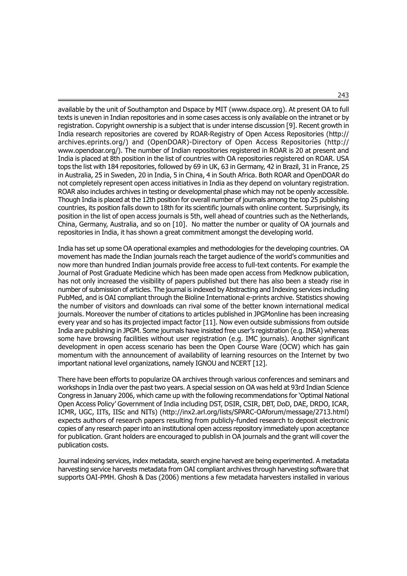available by the unit of Southampton and Dspace by MIT (www.dspace.org). At present OA to full texts is uneven in Indian repositories and in some cases access is only available on the intranet or by registration. Copyright ownership is a subject that is under intense discussion [9]. Recent growth in India research repositories are covered by ROAR-Registry of Open Access Repositories (http:// archives.eprints.org/) and (OpenDOAR)-Directory of Open Access Repositories (http:// www.opendoar.org/). The number of Indian repositories registered in ROAR is 20 at present and India is placed at 8th position in the list of countries with OA repositories registered on ROAR. USA tops the list with 184 repositories, followed by 69 in UK, 63 in Germany, 42 in Brazil, 31 in France, 25 in Australia, 25 in Sweden, 20 in India, 5 in China, 4 in South Africa. Both ROAR and OpenDOAR do not completely represent open access initiatives in India as they depend on voluntary registration. ROAR also includes archives in testing or developmental phase which may not be openly accessible. Though India is placed at the 12th position for overall number of journals among the top 25 publishing countries, its position falls down to 18th for its scientific journals with online content. Surprisingly, its position in the list of open access journals is 5th, well ahead of countries such as the Netherlands, China, Germany, Australia, and so on [10]. No matter the number or quality of OA journals and repositories in India, it has shown a great commitment amongst the developing world.

India has set up some OA operational examples and methodologies for the developing countries. OA movement has made the Indian journals reach the target audience of the world's communities and now more than hundred Indian journals provide free access to full-text contents. For example the Journal of Post Graduate Medicine which has been made open access from Medknow publication, has not only increased the visibility of papers published but there has also been a steady rise in number of submission of articles. The journal is indexed by Abstracting and Indexing services including PubMed, and is OAI compliant through the Bioline International e-prints archive. Statistics showing the number of visitors and downloads can rival some of the better known international medical journals. Moreover the number of citations to articles published in JPGMonline has been increasing every year and so has its projected impact factor [11]. Now even outside submissions from outside India are publishing in JPGM. Some journals have insisted free user's registration (e.g. INSA) whereas some have browsing facilities without user registration (e.g. IMC journals). Another significant development in open access scenario has been the Open Course Ware (OCW) which has gain momentum with the announcement of availability of learning resources on the Internet by two important national level organizations, namely IGNOU and NCERT [12].

There have been efforts to popularize OA archives through various conferences and seminars and workshops in India over the past two years. A special session on OA was held at 93rd Indian Science Congress in January 2006, which came up with the following recommendations for 'Optimal National Open Access Policy' Government of India including DST, DSIR, CSIR, DBT, DoD, DAE, DRDO, ICAR, ICMR, UGC, IITs, IISc and NITs) (http://inx2.arl.org/lists/SPARC-OAforum/message/2713.html) expects authors of research papers resulting from publicly-funded research to deposit electronic copies of any research paper into an institutional open access repository immediately upon acceptance for publication. Grant holders are encouraged to publish in OA journals and the grant will cover the publication costs.

Journal indexing services, index metadata, search engine harvest are being experimented. A metadata harvesting service harvests metadata from OAI compliant archives through harvesting software that supports OAI-PMH. Ghosh & Das (2006) mentions a few metadata harvesters installed in various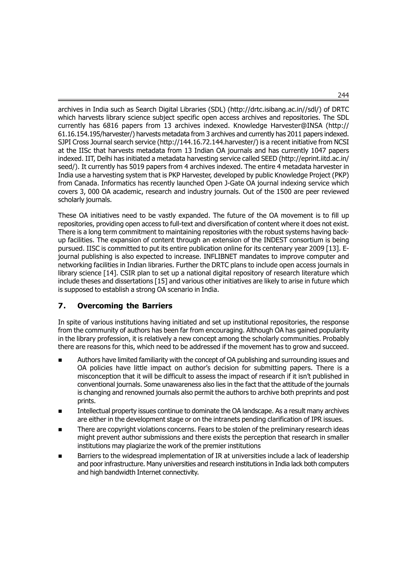archives in India such as Search Digital Libraries (SDL) (http://drtc.isibang.ac.in//sdl/) of DRTC which harvests library science subject specific open access archives and repositories. The SDL currently has 6816 papers from 13 archives indexed. Knowledge Harvester@INSA (http:// 61.16.154.195/harvester/) harvests metadata from 3 archives and currently has 2011 papers indexed. SJPI Cross Journal search service (http://144.16.72.144.harvester/) is a recent initiative from NCSI at the IISc that harvests metadata from 13 Indian OA journals and has currently 1047 papers indexed. IIT, Delhi has initiated a metadata harvesting service called SEED (http://eprint.iitd.ac.in/ seed/). It currently has 5019 papers from 4 archives indexed. The entire 4 metadata harvester in India use a harvesting system that is PKP Harvester, developed by public Knowledge Project (PKP) from Canada. Informatics has recently launched Open J-Gate OA journal indexing service which covers 3, 000 OA academic, research and industry journals. Out of the 1500 are peer reviewed scholarly journals.

These OA initiatives need to be vastly expanded. The future of the OA movement is to fill up repositories, providing open access to full-text and diversification of content where it does not exist. There is a long term commitment to maintaining repositories with the robust systems having backup facilities. The expansion of content through an extension of the INDEST consortium is being pursued. IISC is committed to put its entire publication online for its centenary year 2009 [13]. Ejournal publishing is also expected to increase. INFLIBNET mandates to improve computer and networking facilities in Indian libraries. Further the DRTC plans to include open access journals in library science [14]. CSIR plan to set up a national digital repository of research literature which include theses and dissertations [15] and various other initiatives are likely to arise in future which is supposed to establish a strong OA scenario in India.

# 7. Overcoming the Barriers

In spite of various institutions having initiated and set up institutional repositories, the response from the community of authors has been far from encouraging. Although OA has gained popularity in the library profession, it is relatively a new concept among the scholarly communities. Probably there are reasons for this, which need to be addressed if the movement has to grow and succeed.

- Authors have limited familiarity with the concept of OA publishing and surrounding issues and OA policies have little impact on author's decision for submitting papers. There is a misconception that it will be difficult to assess the impact of research if it isn't published in conventional journals. Some unawareness also lies in the fact that the attitude of the journals is changing and renowned journals also permit the authors to archive both preprints and post prints.
- n Intellectual property issues continue to dominate the OA landscape. As a result many archives are either in the development stage or on the intranets pending clarification of IPR issues.
- **n** There are copyright violations concerns. Fears to be stolen of the preliminary research ideas might prevent author submissions and there exists the perception that research in smaller institutions may plagiarize the work of the premier institutions
- Barriers to the widespread implementation of IR at universities include a lack of leadership and poor infrastructure. Many universities and research institutions in India lack both computers and high bandwidth Internet connectivity.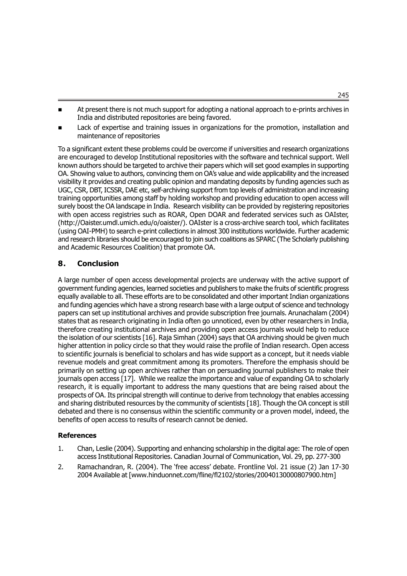- At present there is not much support for adopting a national approach to e-prints archives in India and distributed repositories are being favored.
- Lack of expertise and training issues in organizations for the promotion, installation and maintenance of repositories

To a significant extent these problems could be overcome if universities and research organizations are encouraged to develop Institutional repositories with the software and technical support. Well known authors should be targeted to archive their papers which will set good examples in supporting OA. Showing value to authors, convincing them on OA's value and wide applicability and the increased visibility it provides and creating public opinion and mandating deposits by funding agencies such as UGC, CSR, DBT, ICSSR, DAE etc, self-archiving support from top levels of administration and increasing training opportunities among staff by holding workshop and providing education to open access will surely boost the OA landscape in India. Research visibility can be provided by registering repositories with open access registries such as ROAR, Open DOAR and federated services such as OAIster, (http://Oaister.umdl.umich.edu/o/oaister/). OAIster is a cross-archive search tool, which facilitates (using OAI-PMH) to search e-print collections in almost 300 institutions worldwide. Further academic and research libraries should be encouraged to join such coalitions as SPARC (The Scholarly publishing and Academic Resources Coalition) that promote OA.

## 8. Conclusion

A large number of open access developmental projects are underway with the active support of government funding agencies, learned societies and publishers to make the fruits of scientific progress equally available to all. These efforts are to be consolidated and other important Indian organizations and funding agencies which have a strong research base with a large output of science and technology papers can set up institutional archives and provide subscription free journals. Arunachalam (2004) states that as research originating in India often go unnoticed, even by other researchers in India, therefore creating institutional archives and providing open access journals would help to reduce the isolation of our scientists [16]. Raja Simhan (2004) says that OA archiving should be given much higher attention in policy circle so that they would raise the profile of Indian research. Open access to scientific journals is beneficial to scholars and has wide support as a concept, but it needs viable revenue models and great commitment among its promoters. Therefore the emphasis should be primarily on setting up open archives rather than on persuading journal publishers to make their journals open access [17]. While we realize the importance and value of expanding OA to scholarly research, it is equally important to address the many questions that are being raised about the prospects of OA. Its principal strength will continue to derive from technology that enables accessing and sharing distributed resources by the community of scientists [18]. Though the OA concept is still debated and there is no consensus within the scientific community or a proven model, indeed, the benefits of open access to results of research cannot be denied.

#### References

- 1. Chan, Leslie (2004). Supporting and enhancing scholarship in the digital age: The role of open access Institutional Repositories. Canadian Journal of Communication, Vol. 29, pp. 277-300
- 2. Ramachandran, R. (2004). The 'free access' debate. Frontline Vol. 21 issue (2) Jan 17-30 2004 Available at [www.hinduonnet.com/fline/fl2102/stories/20040130000807900.htm]